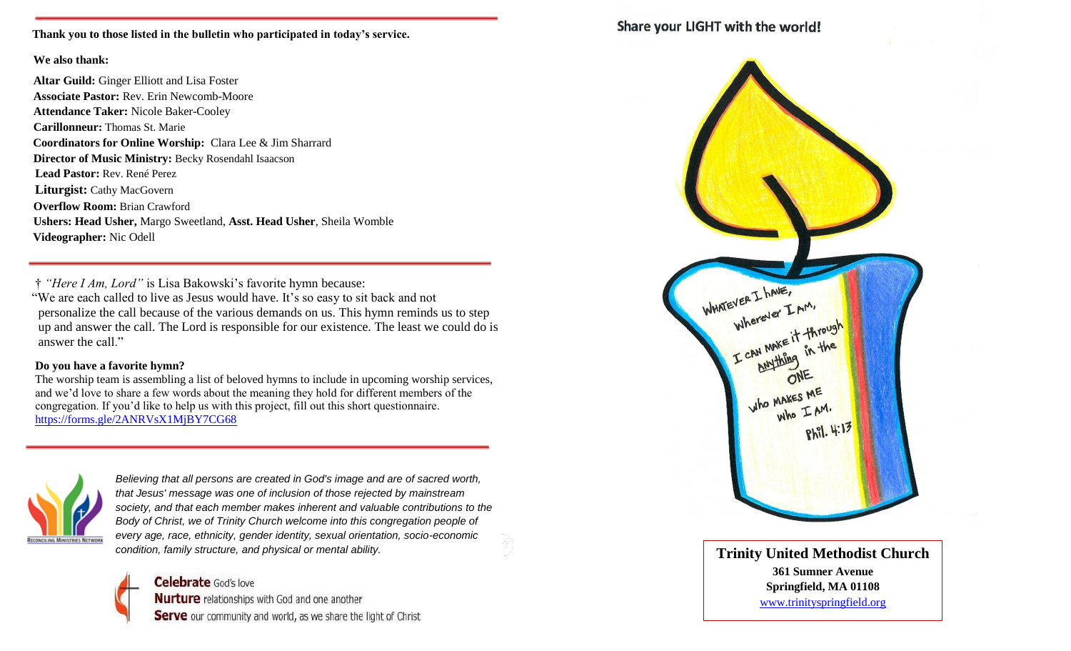**Thank you to those listed in the bulletin who participated in today's service.**

#### **We also thank:**

**Altar Guild:** Ginger Elliott and Lisa Foster **Associate Pastor:** Rev. Erin Newcomb-Moore **Attendance Taker:** Nicole Baker-Cooley **Carillonneur:** Thomas St. Marie  **Coordinators for Online Worship:** Clara Lee & Jim Sharrard **Director of Music Ministry:** Becky Rosendahl Isaacson  **Lead Pastor:** Rev. René Perez **Liturgist:** Cathy MacGovern **Overflow Room:** Brian Crawford **Ushers: Head Usher,** Margo Sweetland, **Asst. Head Usher**, Sheila Womble  **Videographer:** Nic Odell

 † *"Here I Am, Lord"* is Lisa Bakowski's favorite hymn because: "We are each called to live as Jesus would have. It's so easy to sit back and not personalize the call because of the various demands on us. This hymn reminds us to step up and answer the call. The Lord is responsible for our existence. The least we could do is answer the call."

#### **Do you have a favorite hymn?**

 The worship team is assembling a list of beloved hymns to include in upcoming worship services, and we'd love to share a few words about the meaning they hold for different members of the congregation. If you'd like to help us with this project, fill out this short questionnaire. <https://forms.gle/2ANRVsX1MjBY7CG68>



*Believing that all persons are created in God's image and are of sacred worth, that Jesus' message was one of inclusion of those rejected by mainstream society, and that each member makes inherent and valuable contributions to the*  Body of Christ, we of Trinity Church welcome into this congregation people of *every age, race, ethnicity, gender identity, sexual orientation, socio-economic condition, family structure, and physical or mental ability.* **The structure of the structure of the structure of the structure of the structure of the structure of the structure of the structure of the structure of the s** 

**Celebrate** God's love Nurture relationships with God and one another Serve our community and world, as we share the light of Christ

## Share your LIGHT with the world!



**361 Sumner Avenue Springfield, MA 01108** [www.trinityspringfield.org](http://www.trinityspringfield.org/)